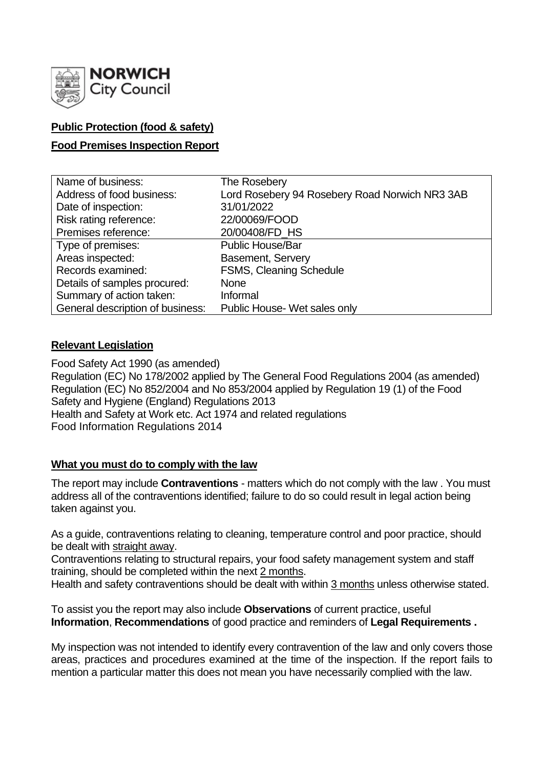

## **Public Protection (food & safety)**

## **Food Premises Inspection Report**

| Name of business:                | The Rosebery                                   |
|----------------------------------|------------------------------------------------|
| Address of food business:        | Lord Rosebery 94 Rosebery Road Norwich NR3 3AB |
| Date of inspection:              | 31/01/2022                                     |
| Risk rating reference:           | 22/00069/FOOD                                  |
| Premises reference:              | 20/00408/FD HS                                 |
| Type of premises:                | <b>Public House/Bar</b>                        |
| Areas inspected:                 | <b>Basement, Servery</b>                       |
| Records examined:                | FSMS, Cleaning Schedule                        |
| Details of samples procured:     | <b>None</b>                                    |
| Summary of action taken:         | Informal                                       |
| General description of business: | Public House- Wet sales only                   |

## **Relevant Legislation**

Food Safety Act 1990 (as amended) Regulation (EC) No 178/2002 applied by The General Food Regulations 2004 (as amended) Regulation (EC) No 852/2004 and No 853/2004 applied by Regulation 19 (1) of the Food Safety and Hygiene (England) Regulations 2013 Health and Safety at Work etc. Act 1974 and related regulations Food Information Regulations 2014

## **What you must do to comply with the law**

The report may include **Contraventions** - matters which do not comply with the law . You must address all of the contraventions identified; failure to do so could result in legal action being taken against you.

As a guide, contraventions relating to cleaning, temperature control and poor practice, should be dealt with straight away.

Contraventions relating to structural repairs, your food safety management system and staff training, should be completed within the next 2 months.

Health and safety contraventions should be dealt with within 3 months unless otherwise stated.

To assist you the report may also include **Observations** of current practice, useful **Information**, **Recommendations** of good practice and reminders of **Legal Requirements .**

My inspection was not intended to identify every contravention of the law and only covers those areas, practices and procedures examined at the time of the inspection. If the report fails to mention a particular matter this does not mean you have necessarily complied with the law.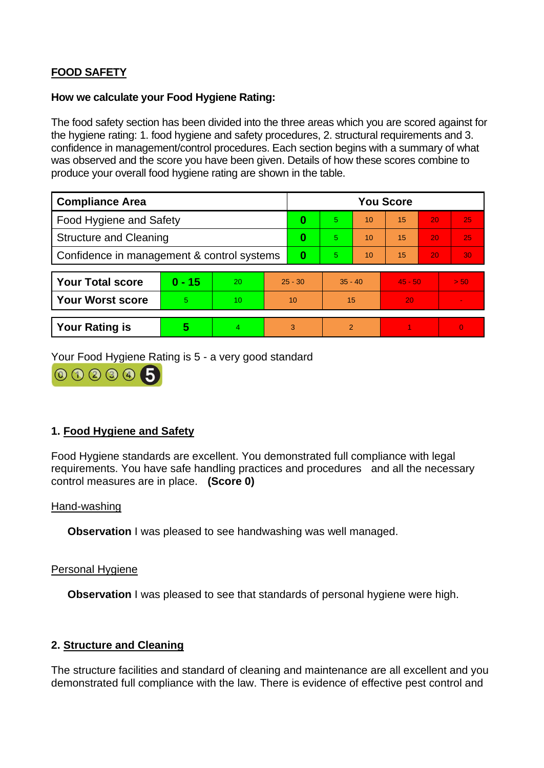# **FOOD SAFETY**

### **How we calculate your Food Hygiene Rating:**

The food safety section has been divided into the three areas which you are scored against for the hygiene rating: 1. food hygiene and safety procedures, 2. structural requirements and 3. confidence in management/control procedures. Each section begins with a summary of what was observed and the score you have been given. Details of how these scores combine to produce your overall food hygiene rating are shown in the table.

| <b>Compliance Area</b>                     |          |    |           | <b>You Score</b> |           |    |           |    |                |  |  |
|--------------------------------------------|----------|----|-----------|------------------|-----------|----|-----------|----|----------------|--|--|
| <b>Food Hygiene and Safety</b>             |          |    |           | 0                | 5         | 10 | 15        | 20 | 25             |  |  |
| <b>Structure and Cleaning</b>              |          |    | $\bf{0}$  | 5.               | 10        | 15 | 20        | 25 |                |  |  |
| Confidence in management & control systems |          |    | $\bf{0}$  | 5.               | 10        | 15 | 20        | 30 |                |  |  |
|                                            |          |    |           |                  |           |    |           |    |                |  |  |
| <b>Your Total score</b>                    | $0 - 15$ | 20 | $25 - 30$ |                  | $35 - 40$ |    | $45 - 50$ |    | > 50           |  |  |
| <b>Your Worst score</b>                    | 5        | 10 | 10        |                  | 15        |    | 20        |    | $\sim$         |  |  |
|                                            |          |    |           |                  |           |    |           |    |                |  |  |
| <b>Your Rating is</b>                      | 5        | 4  | 3         |                  | 2         |    |           |    | $\overline{0}$ |  |  |

Your Food Hygiene Rating is 5 - a very good standard



## **1. Food Hygiene and Safety**

Food Hygiene standards are excellent. You demonstrated full compliance with legal requirements. You have safe handling practices and procedures and all the necessary control measures are in place. **(Score 0)**

#### Hand-washing

**Observation I** was pleased to see handwashing was well managed.

#### Personal Hygiene

**Observation** I was pleased to see that standards of personal hygiene were high.

## **2. Structure and Cleaning**

The structure facilities and standard of cleaning and maintenance are all excellent and you demonstrated full compliance with the law. There is evidence of effective pest control and